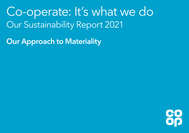Co-operate: It's what we do Our Sustainability Report 2021

Our Approach to Materiality

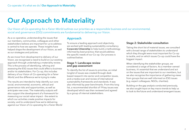# Our Approach to Materiality

Our Vision of Co-operating for a Fairer World outlines our priorities as a responsible business and our environmental, social and governance (ESG) commitments are fundamental to delivering our Vision.

As a co-operative, understanding the issues that our members, communities, colleagues and other stakeholders believe are important for us to address is central to how we operate. These insights have helped shape the development of our Vision, as well as our strategies and policies.

As we move from development to delivery of our Vision, we recognised a need to build on our existing approach through undertaking a materiality review. This is the process of identifying, refining and assessing the ESG issues that could affect a business and/or its stakeholders. For Co-op, this includes delivery of our Vision of Co-operating for a Fairer World, and the difference we're trying to make.

The results are intended to help identify our core social, environmental, economic, ethical and governance risks and opportunities, as well as anticipate new ones. The materiality outputs will also support the development of a framework for measuring our social value impact - the extent to which our activities create positive impacts for society; and to understand how we're delivering against our Vision of Co-operating for a Fairer World.

## Approach

To ensure a leading approach and objectivity, we worked with leading sustainability consultancy [Corporate Citizenship](https://corporate-citizenship.com/) to help build a methodology informed by best practice, that would address the specific needs of our Co-op. Our process is outlined below.

#### Stage 1: Landscape review and gap assessment

To identify the list of issues to prioritise, an initial longlist of issues was created through deskbased research into sector and competitor issues, and a media scan and review of international sustainability frameworks and standards. It was also informed by peer benchmarks. From this long list, a recommended shortlist of 19 key issues was developed which was then reviewed and agreed by a group of internal stakeholders.

#### Stage 2: Stakeholder consultation

Taking the short list of material issues, we consulted with a broad range of stakeholders to understand which they thought were most important for Co-op to tackle, and on which issues Co-op could have the biggest impact.

When identifying the stakeholder groups, we considered a range of factors. As a member owned business, it's essential that we understand and act on the issues that are important to our members, but we also recognise the importance of gathering views from groups that are well informed on ESG issues (e.g. expert colleagues, NGOs, charities).

Building on the gap analysis conducted previously, we also sought input on key macro trends to help us to look to the future and understand emergent issues.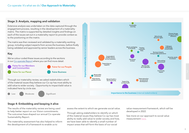#### Stage 3: Analysis, mapping and validation

Extensive analysis was undertaken on the data captured through the engagement process, resulting in the development of a materiality matrix. The matrix is supported by detailed insights and findings on each of the issues set out in a materiality report to provide context as to the positioning on the matrix.

The matrix was then reviewed and validated by a materiality working group, including subject experts from across the business, before finally being validated and approved by senior leaders across the business.

## Key

We've colour coded these issues according to the sections in our [Co-operate Report](https://www.co-operative.coop/ethics/sustainability-reporting) where you can find more detail.

Fairer for our Members<br>
Fairer for our People and Communities





Through our materiality review, we asked stakeholders which of the material issues they believe our Co-op has most ability to add value to wider society. Opportunity to impact/add value is indicated here by circle size.

Low Moderate Significant



### Stage 4: Embedding and keeping it alive

The results of the materiality review are being used to help better report on our Vision commitments. The outcomes have shaped our annual Co-operate Sustainability Report.

The materiality assessment has also helped to inform the development of a framework to enable us to

assess the extent to which we generate social value.

Through asking stakeholders to identify on which of the material issues they believe Co-op has most ability to really add value to wider society and how, we have been able to identify a small number of impact areas that will form the basis of our social

value measurement framework, which will be developed in 2022.

See more on our approach to social value measurement here.